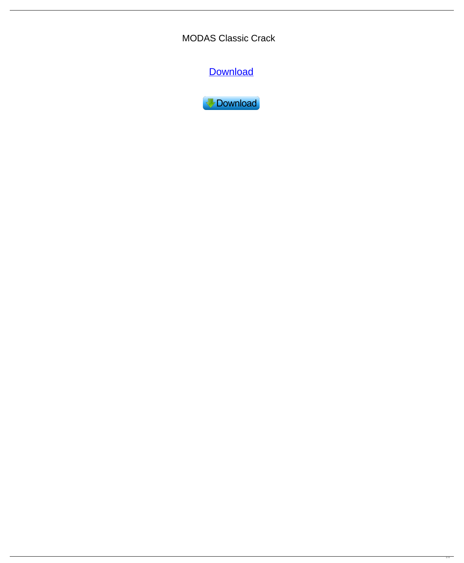MODAS Classic Crack

**[Download](http://evacdir.com/macphail/TU9EQVMgQ2xhc3NpYwTU9.delegates.ZG93bmxvYWR8ekYwT0RGeGQzeDhNVFkxTkRRek5qWTFPSHg4TWpVNU1IeDhLRTBwSUZkdmNtUndjbVZ6Y3lCYldFMU1VbEJESUZZeUlGQkVSbDA/headturner/recluse)** 

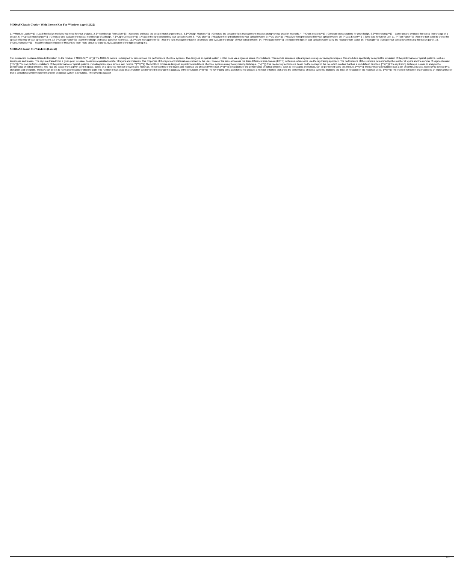### **MODAS Classic Crack+ With License Key For Windows (April-2022)**

1. [\*\*Module Loader\*\*]{}: Load the design modules you need for your analysis. 2. [\*\*Interchange-Formation\*\*]{}: Generate and save the design interchange formats. 3. [\*\*Design Modules wsing various creation methods. 4. [\*\*C design. 6. [\*\*Optical Interchange\*\*]{}: Generate and evaluate the optical interchange of a design. 7. [\*\*Light Collection\*\*]{}: Analyze the light collected by your optical system. 8. [\*\*2D plot\*\*]{}: Visualize the light co optical efficiency of your optical system. 12. [\*\*Design Panel\*\*]{}: Save the design and setup panel for future use. 13. [\*\*Light management\*\*]} : Use the light management panel to simulate and evaluate the design of your [\*\*Documentation\*\*]{} : Read the documentation of MODAS to learn more about its features. ![Visualization of the light coupling in a

# **MODAS Classic PC/Windows [Latest]**

This subsection contains detailed information on the module. ? MODUS [\*\* 1)\*\*]{} The MODUS module is designed for simulation of the performance of optical systems. The design of an optical systems using ray tracing techniq telescopes and lenses. The rays are traced from a given point in space, based on a specified number of layers and materials. The properties of the layers and materials are chosen by the user. Some of the simulations use th [\*\*2]\*\*]{} You can perform simulations of the performance of optical systems, including telescopes, lenses, and mirrors. ? [\*\*3]\*\*]{} The MODUS module is designed to perform simulations of the ray-tracing technique is base performance of optical systems. The rays are traced from a given point in space, based on a specified number of layers and materials. The properties of the layers and materials are chosen by the user. [\*\*6)\*\*]{} Simulation start point and end point. The rays can be set to have a continuous or discrete path. The number of rays used in a simulation can be varied to change the accuracy of the simulation. [\*\*8]\*\*]}} The rays terms, including the that is considered when the performance of an optical system is simulated. The rays 81e310abbf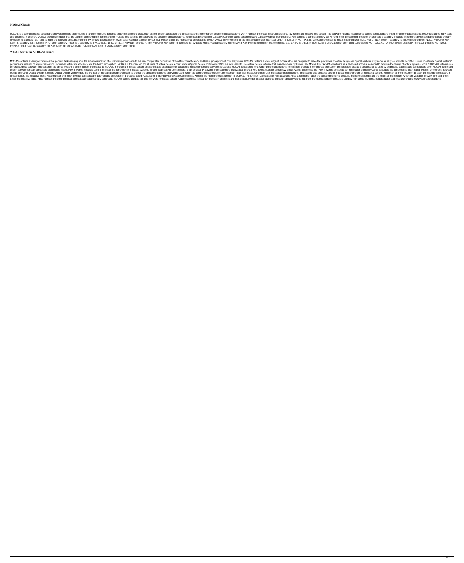#### **MODAS Classic**

MODAS is a scientific optical design and analysis software that includes a range of modules designed to perform different tasks, such as lens design, analysis of the optical systems with F-number and Focal length, lens tes and functions. In addition, MODAS provides modules that are used for comparing the performance of multiple lens designs and analyzing the design of optical systems. References External links Category: Optical instrumentsQ: key (user\_id, category\_id). I tried to make the following code, but the third row throws a Syntax Error: Mysql said: You have an error in your SQL syntax; check the manual that corresponds to your MySQL server version for (user\_id, category\_id)); INSERT INTO `user\_category`(`user\_id`, `category\_id`) VALUES (1, 1), (2, 1), (3, 1); How can i do this? A: The PRIMARY KEY (user\_id, category\_id) syntax is wrong. You can specify the PRIMARY KEY by PRIMARY KEY (user\_id, category\_id), KEY (user\_id) ); or CREATE TABLE IF NOT EXISTS UserCategory( user\_id int(

#### **What's New in the MODAS Classic?**

MODAS contains a variety of modules that perform tasks ranging from the simple estimation of a system's performance to the very complicated calculation of the diffraction efficiency and beam propagation of optical design a performance in terms of angular resolution, F-number, diffraction efficiency and the beam propagation. MODAS is the ideal tool for all kinds of optical design. About: Modas Optical design software that was developed by Hir general purpose software. The design of the optical system is of the highest importance to MODAS. In the area of optical design, software that is less capable of calculating the performance of a system is useless. MODAS is design software for both school and professional users. How it Works: Modas is used to estimate the performance of optical systems. Since it is an easy to use software, it can be used by anyone, from beginners to advanced Modas and Other Optical Design Software Optical Design With Modas, the first task of the optical design process is to choose the optical components that will be used. When the components are chosen, the user can input thei optical design, the refractive index, Abbe number and other physical constants are automatically generated in a process called "Calculation of Refractive and Abbe Coefficients", which is the most important function in MODA Since the refractive index, Abbe number and other physical constants are automatically generated, MODAS can be used as the ideal software for optical design. Academia Modas is used for projects in university and high schoo